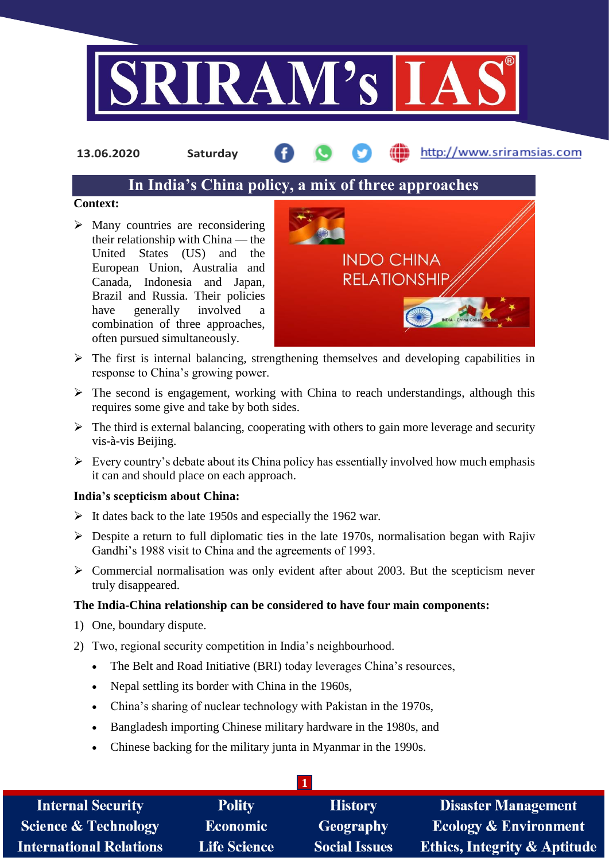

**13.06.2020 Saturday**

http://www.sriramsias.com

# **In India's China policy, a mix of three approaches**

## **Context:**

 $\triangleright$  Many countries are reconsidering their relationship with China — the United States (US) and the European Union, Australia and Canada, Indonesia and Japan, Brazil and Russia. Their policies have generally involved a combination of three approaches, often pursued simultaneously.



- $\triangleright$  The first is internal balancing, strengthening themselves and developing capabilities in response to China's growing power.
- $\triangleright$  The second is engagement, working with China to reach understandings, although this requires some give and take by both sides.
- $\triangleright$  The third is external balancing, cooperating with others to gain more leverage and security vis-à-vis Beijing.
- $\triangleright$  Every country's debate about its China policy has essentially involved how much emphasis it can and should place on each approach.

# **India's scepticism about China:**

- $\triangleright$  It dates back to the late 1950s and especially the 1962 war.
- $\triangleright$  Despite a return to full diplomatic ties in the late 1970s, normalisation began with Rajiv Gandhi's 1988 visit to China and the agreements of 1993.
- $\triangleright$  Commercial normalisation was only evident after about 2003. But the scepticism never truly disappeared.

# **The India-China relationship can be considered to have four main components:**

- 1) One, boundary dispute.
- 2) Two, regional security competition in India's neighbourhood.
	- The Belt and Road Initiative (BRI) today leverages China's resources,
	- Nepal settling its border with China in the 1960s,
	- China's sharing of nuclear technology with Pakistan in the 1970s,
	- Bangladesh importing Chinese military hardware in the 1980s, and
	- Chinese backing for the military junta in Myanmar in the 1990s.

| <b>Internal Security</b>        | <b>Polity</b>       | <b>History</b>       | <b>Disaster Management</b>              |
|---------------------------------|---------------------|----------------------|-----------------------------------------|
| <b>Science &amp; Technology</b> | <b>Economic</b>     | Geography            | <b>Ecology &amp; Environment</b>        |
| International Relations         | <b>Life Science</b> | <b>Social Issues</b> | <b>Ethics, Integrity &amp; Aptitude</b> |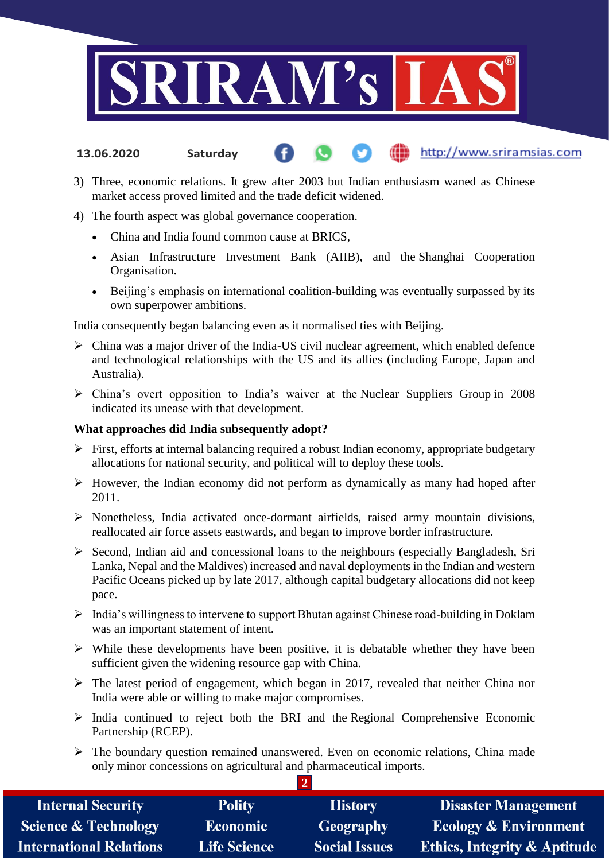

- http://www.sriramsias.com **13.06.2020 Saturday**
- 3) Three, economic relations. It grew after 2003 but Indian enthusiasm waned as Chinese market access proved limited and the trade deficit widened.

#### 4) The fourth aspect was global governance cooperation.

- China and India found common cause at BRICS,
- Asian Infrastructure Investment Bank (AIIB), and the Shanghai Cooperation Organisation.
- Beijing's emphasis on international coalition-building was eventually surpassed by its own superpower ambitions.

India consequently began balancing even as it normalised ties with Beijing.

- $\triangleright$  China was a major driver of the India-US civil nuclear agreement, which enabled defence and technological relationships with the US and its allies (including Europe, Japan and Australia).
- China's overt opposition to India's waiver at the Nuclear Suppliers Group in 2008 indicated its unease with that development.

#### **What approaches did India subsequently adopt?**

- $\triangleright$  First, efforts at internal balancing required a robust Indian economy, appropriate budgetary allocations for national security, and political will to deploy these tools.
- $\triangleright$  However, the Indian economy did not perform as dynamically as many had hoped after 2011.
- $\triangleright$  Nonetheless, India activated once-dormant airfields, raised army mountain divisions, reallocated air force assets eastwards, and began to improve border infrastructure.
- $\triangleright$  Second, Indian aid and concessional loans to the neighbours (especially Bangladesh, Sri Lanka, Nepal and the Maldives) increased and naval deployments in the Indian and western Pacific Oceans picked up by late 2017, although capital budgetary allocations did not keep pace.
- India's willingness to intervene to support Bhutan against Chinese road-building in Doklam was an important statement of intent.
- $\triangleright$  While these developments have been positive, it is debatable whether they have been sufficient given the widening resource gap with China.
- $\triangleright$  The latest period of engagement, which began in 2017, revealed that neither China nor India were able or willing to make major compromises.
- $\triangleright$  India continued to reject both the BRI and the Regional Comprehensive Economic Partnership (RCEP).
- $\triangleright$  The boundary question remained unanswered. Even on economic relations, China made only minor concessions on agricultural and pharmaceutical imports.

 $\overline{2}$ 

| <b>Internal Security</b>       | <b>Polity</b>       | <b>History</b>       | <b>Disaster Management</b>              |
|--------------------------------|---------------------|----------------------|-----------------------------------------|
| Science & Technology           | <b>Economic</b>     | Geography            | <b>Ecology &amp; Environment</b>        |
| <b>International Relations</b> | <b>Life Science</b> | <b>Social Issues</b> | <b>Ethics, Integrity &amp; Aptitude</b> |